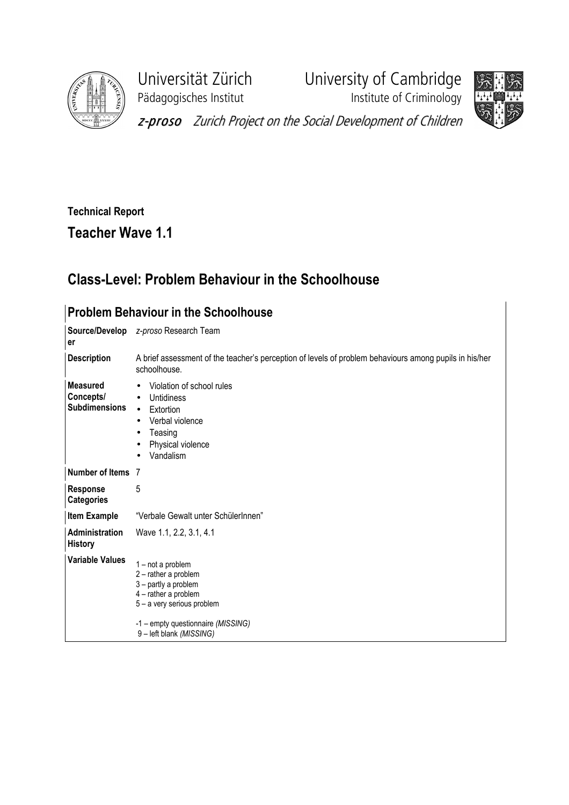

Pädagogisches Institut **Institute of Criminology** 

Universität Zürich University of Cambridge



z-proso Zurich Project on the Social Development of Children

## Technical Report Teacher Wave 1.1

## Class-Level: Problem Behaviour in the Schoolhouse

| <b>Problem Behaviour in the Schoolhouse</b>          |                                                                                                                                                                                       |  |  |  |  |  |  |
|------------------------------------------------------|---------------------------------------------------------------------------------------------------------------------------------------------------------------------------------------|--|--|--|--|--|--|
| er                                                   | Source/Develop z-proso Research Team                                                                                                                                                  |  |  |  |  |  |  |
| <b>Description</b>                                   | A brief assessment of the teacher's perception of levels of problem behaviours among pupils in his/her<br>schoolhouse.                                                                |  |  |  |  |  |  |
| <b>Measured</b><br>Concepts/<br><b>Subdimensions</b> | Violation of school rules<br>$\bullet$<br>Untidiness<br>$\bullet$<br>Extortion<br>$\bullet$<br>Verbal violence<br>$\bullet$<br>Teasing<br>$\bullet$<br>Physical violence<br>Vandalism |  |  |  |  |  |  |
| Number of Items 7                                    |                                                                                                                                                                                       |  |  |  |  |  |  |
| <b>Response</b><br><b>Categories</b>                 | 5                                                                                                                                                                                     |  |  |  |  |  |  |
| <b>Item Example</b>                                  | "Verbale Gewalt unter SchülerInnen"                                                                                                                                                   |  |  |  |  |  |  |
| Administration<br><b>History</b>                     | Wave 1.1, 2.2, 3.1, 4.1                                                                                                                                                               |  |  |  |  |  |  |
| <b>Variable Values</b>                               | 1-not a problem<br>2 - rather a problem<br>3 - partly a problem<br>4 - rather a problem<br>5 - a very serious problem<br>-1 – empty questionnaire (MISSING)<br>9-left blank (MISSING) |  |  |  |  |  |  |